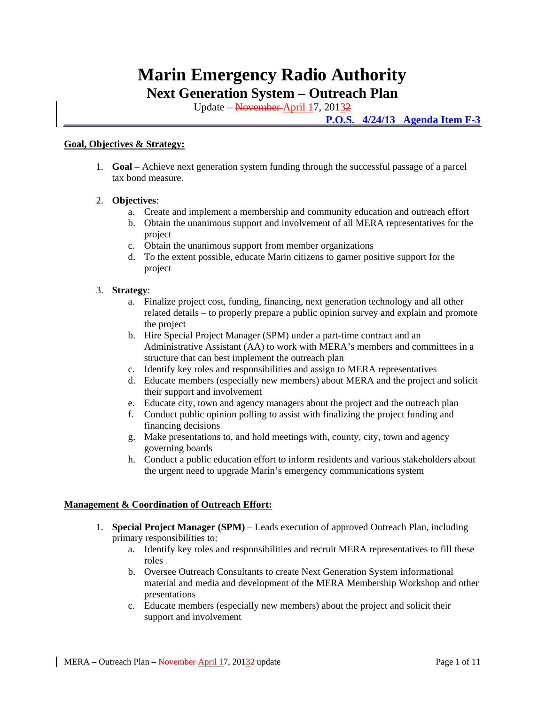# **Marin Emergency Radio Authority**

**Next Generation System – Outreach Plan** 

Update – November April 17, 20132

 **P.O.S. 4/24/13 Agenda Item F-3**

# **Goal, Objectives & Strategy:**

1. **Goal** – Achieve next generation system funding through the successful passage of a parcel tax bond measure.

# 2. **Objectives**:

- a. Create and implement a membership and community education and outreach effort
- b. Obtain the unanimous support and involvement of all MERA representatives for the project
- c. Obtain the unanimous support from member organizations
- d. To the extent possible, educate Marin citizens to garner positive support for the project

# 3. **Strategy**:

- a. Finalize project cost, funding, financing, next generation technology and all other related details – to properly prepare a public opinion survey and explain and promote the project
- b. Hire Special Project Manager (SPM) under a part-time contract and an Administrative Assistant (AA) to work with MERA's members and committees in a structure that can best implement the outreach plan
- c. Identify key roles and responsibilities and assign to MERA representatives
- d. Educate members (especially new members) about MERA and the project and solicit their support and involvement
- e. Educate city, town and agency managers about the project and the outreach plan
- f. Conduct public opinion polling to assist with finalizing the project funding and financing decisions
- g. Make presentations to, and hold meetings with, county, city, town and agency governing boards
- h. Conduct a public education effort to inform residents and various stakeholders about the urgent need to upgrade Marin's emergency communications system

# **Management & Coordination of Outreach Effort:**

- 1. **Special Project Manager (SPM)** Leads execution of approved Outreach Plan, including primary responsibilities to:
	- a. Identify key roles and responsibilities and recruit MERA representatives to fill these roles
	- b. Oversee Outreach Consultants to create Next Generation System informational material and media and development of the MERA Membership Workshop and other presentations
	- c. Educate members (especially new members) about the project and solicit their support and involvement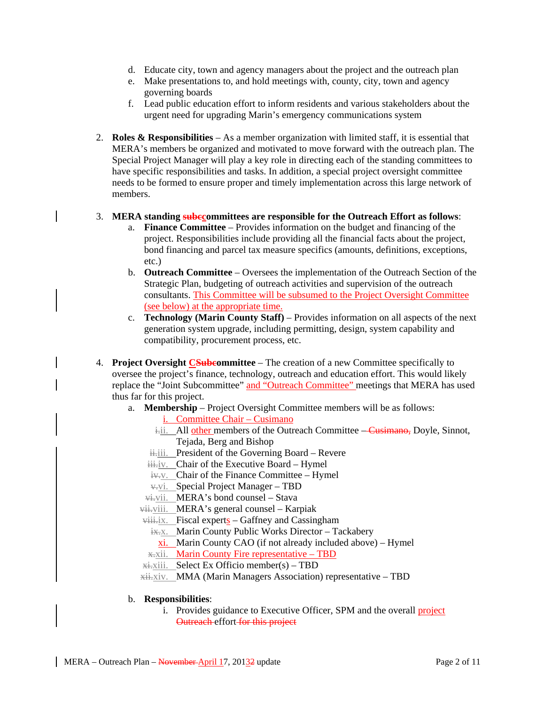- d. Educate city, town and agency managers about the project and the outreach plan
- e. Make presentations to, and hold meetings with, county, city, town and agency governing boards
- f. Lead public education effort to inform residents and various stakeholders about the urgent need for upgrading Marin's emergency communications system
- 2. **Roles & Responsibilities** As a member organization with limited staff, it is essential that MERA's members be organized and motivated to move forward with the outreach plan. The Special Project Manager will play a key role in directing each of the standing committees to have specific responsibilities and tasks. In addition, a special project oversight committee needs to be formed to ensure proper and timely implementation across this large network of members.

# 3. **MERA standing subccommittees are responsible for the Outreach Effort as follows**:

- a. **Finance Committee** Provides information on the budget and financing of the project. Responsibilities include providing all the financial facts about the project, bond financing and parcel tax measure specifics (amounts, definitions, exceptions, etc.)
- b. **Outreach Committee** Oversees the implementation of the Outreach Section of the Strategic Plan, budgeting of outreach activities and supervision of the outreach consultants. This Committee will be subsumed to the Project Oversight Committee (see below) at the appropriate time.
- c. **Technology (Marin County Staff)** Provides information on all aspects of the next generation system upgrade, including permitting, design, system capability and compatibility, procurement process, etc.
- 4. **Project Oversight CSubcommittee** The creation of a new Committee specifically to oversee the project's finance, technology, outreach and education effort. This would likely replace the "Joint Subcommittee" and "Outreach Committee" meetings that MERA has used thus far for this project.
	- a. **Membership** Project Oversight Committee members will be as follows:
		- i. Committee Chair Cusimano
		- i.i. All other members of the Outreach Committee Cusimano, Doyle, Sinnot, Tejada, Berg and Bishop
		- iii. President of the Governing Board Revere
		- iii.iv. Chair of the Executive Board Hymel
		- iv.v. Chair of the Finance Committee Hymel
		- $\overline{v}$ . Special Project Manager TBD
		- vi.vii. MERA's bond counsel Stava
		- vii.viii. MERA's general counsel Karpiak
		- $viii.$  Fiscal experts Gaffney and Cassingham
			- ix.x. Marin County Public Works Director Tackabery
			- xi. Marin County CAO (if not already included above) Hymel
			- x.xii. Marin County Fire representative TBD
		- xi.xiii. Select Ex Officio member(s) TBD
		- xii.xiv. MMA (Marin Managers Association) representative TBD

# b. **Responsibilities**:

i. Provides guidance to Executive Officer, SPM and the overall project **Outreach effort for this project**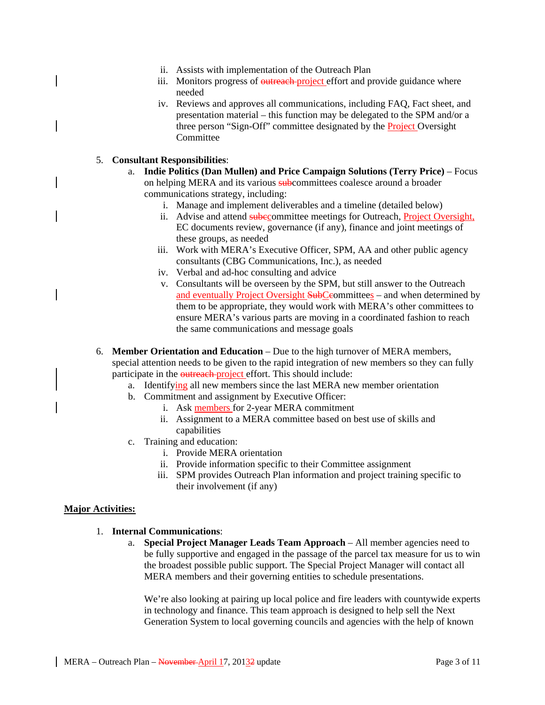- ii. Assists with implementation of the Outreach Plan
- iii. Monitors progress of outreach project effort and provide guidance where needed
- iv. Reviews and approves all communications, including FAQ, Fact sheet, and presentation material – this function may be delegated to the SPM and/or a three person "Sign-Off" committee designated by the Project Oversight **Committee**

# 5. **Consultant Responsibilities**:

- a. **Indie Politics (Dan Mullen) and Price Campaign Solutions (Terry Price)**  Focus on helping MERA and its various subcommittees coalesce around a broader communications strategy, including:
	- i. Manage and implement deliverables and a timeline (detailed below)
	- ii. Advise and attend subecommittee meetings for Outreach, Project Oversight, EC documents review, governance (if any), finance and joint meetings of these groups, as needed
	- iii. Work with MERA's Executive Officer, SPM, AA and other public agency consultants (CBG Communications, Inc.), as needed
	- iv. Verbal and ad-hoc consulting and advice
	- v. Consultants will be overseen by the SPM, but still answer to the Outreach and eventually Project Oversight SubCeommittees – and when determined by them to be appropriate, they would work with MERA's other committees to ensure MERA's various parts are moving in a coordinated fashion to reach the same communications and message goals
- 6. **Member Orientation and Education** Due to the high turnover of MERA members, special attention needs to be given to the rapid integration of new members so they can fully participate in the outreach project effort. This should include:
	- a. Identifying all new members since the last MERA new member orientation
	- b. Commitment and assignment by Executive Officer:
		- i. Ask members for 2-year MERA commitment
		- ii. Assignment to a MERA committee based on best use of skills and capabilities
	- c. Training and education:
		- i. Provide MERA orientation
		- ii. Provide information specific to their Committee assignment
		- iii. SPM provides Outreach Plan information and project training specific to their involvement (if any)

#### **Major Activities:**

#### 1. **Internal Communications**:

a. **Special Project Manager Leads Team Approach** – All member agencies need to be fully supportive and engaged in the passage of the parcel tax measure for us to win the broadest possible public support. The Special Project Manager will contact all MERA members and their governing entities to schedule presentations.

We're also looking at pairing up local police and fire leaders with countywide experts in technology and finance. This team approach is designed to help sell the Next Generation System to local governing councils and agencies with the help of known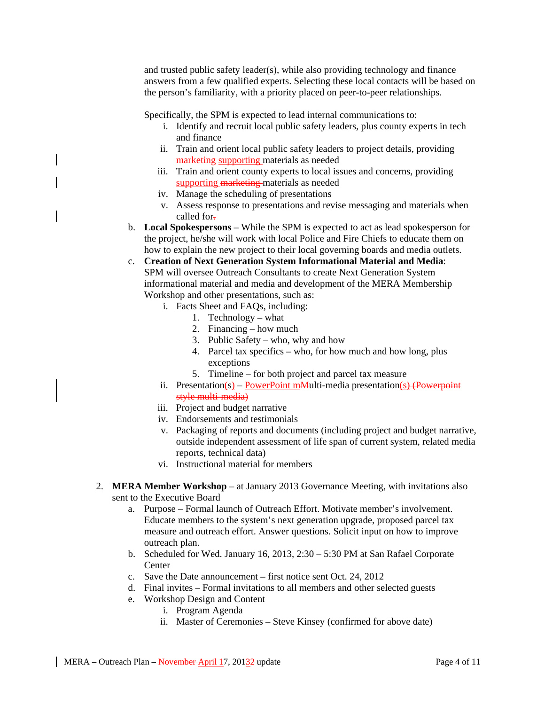and trusted public safety leader(s), while also providing technology and finance answers from a few qualified experts. Selecting these local contacts will be based on the person's familiarity, with a priority placed on peer-to-peer relationships.

Specifically, the SPM is expected to lead internal communications to:

- i. Identify and recruit local public safety leaders, plus county experts in tech and finance
- ii. Train and orient local public safety leaders to project details, providing marketing supporting materials as needed
- iii. Train and orient county experts to local issues and concerns, providing supporting marketing materials as needed
- iv. Manage the scheduling of presentations
- v. Assess response to presentations and revise messaging and materials when called for-
- b. **Local Spokespersons** While the SPM is expected to act as lead spokesperson for the project, he/she will work with local Police and Fire Chiefs to educate them on how to explain the new project to their local governing boards and media outlets.
- c. **Creation of Next Generation System Informational Material and Media**: SPM will oversee Outreach Consultants to create Next Generation System informational material and media and development of the MERA Membership Workshop and other presentations, such as:

i. Facts Sheet and FAQs, including:

- 1. Technology what
- 2. Financing how much
- 3. Public Safety who, why and how
- 4. Parcel tax specifics who, for how much and how long, plus exceptions
- 5. Timeline for both project and parcel tax measure
- ii. Presentation(s) PowerPoint mMulti-media presentation(s) (Powerpoint style multi-media)
- iii. Project and budget narrative
- iv. Endorsements and testimonials
- v. Packaging of reports and documents (including project and budget narrative, outside independent assessment of life span of current system, related media reports, technical data)
- vi. Instructional material for members
- 2. **MERA Member Workshop** at January 2013 Governance Meeting, with invitations also sent to the Executive Board
	- a. Purpose Formal launch of Outreach Effort. Motivate member's involvement. Educate members to the system's next generation upgrade, proposed parcel tax measure and outreach effort. Answer questions. Solicit input on how to improve outreach plan.
	- b. Scheduled for Wed. January 16, 2013, 2:30 5:30 PM at San Rafael Corporate **Center**
	- c. Save the Date announcement first notice sent Oct. 24, 2012
	- d. Final invites Formal invitations to all members and other selected guests
	- e. Workshop Design and Content
		- i. Program Agenda
		- ii. Master of Ceremonies Steve Kinsey (confirmed for above date)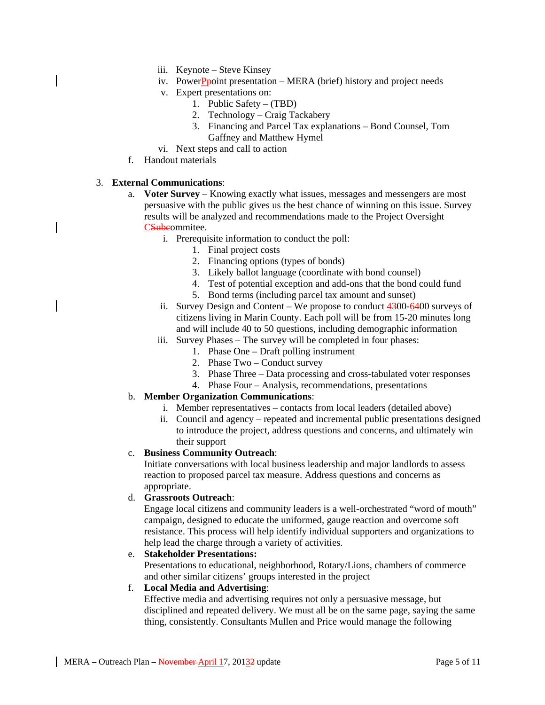- iii. Keynote Steve Kinsey
- iv. PowerPpoint presentation  $-$  MERA (brief) history and project needs
- v. Expert presentations on:
	- 1. Public Safety (TBD)
	- 2. Technology Craig Tackabery
	- 3. Financing and Parcel Tax explanations Bond Counsel, Tom Gaffney and Matthew Hymel
- vi. Next steps and call to action
- f. Handout materials

# 3. **External Communications**:

- a. **Voter Survey** Knowing exactly what issues, messages and messengers are most persuasive with the public gives us the best chance of winning on this issue. Survey results will be analyzed and recommendations made to the Project Oversight CSubeommitee.
	- i. Prerequisite information to conduct the poll:
		- 1. Final project costs
		- 2. Financing options (types of bonds)
		- 3. Likely ballot language (coordinate with bond counsel)
		- 4. Test of potential exception and add-ons that the bond could fund
		- 5. Bond terms (including parcel tax amount and sunset)
	- ii. Survey Design and Content We propose to conduct 4300-6400 surveys of citizens living in Marin County. Each poll will be from 15-20 minutes long and will include 40 to 50 questions, including demographic information
	- iii. Survey Phases The survey will be completed in four phases:
		- 1. Phase One Draft polling instrument
		- 2. Phase Two Conduct survey
		- 3. Phase Three Data processing and cross-tabulated voter responses
		- 4. Phase Four Analysis, recommendations, presentations

# b. **Member Organization Communications**:

- i. Member representatives contacts from local leaders (detailed above)
- ii. Council and agency repeated and incremental public presentations designed to introduce the project, address questions and concerns, and ultimately win their support

# c. **Business Community Outreach**:

Initiate conversations with local business leadership and major landlords to assess reaction to proposed parcel tax measure. Address questions and concerns as appropriate.

# d. **Grassroots Outreach**:

Engage local citizens and community leaders is a well-orchestrated "word of mouth" campaign, designed to educate the uniformed, gauge reaction and overcome soft resistance. This process will help identify individual supporters and organizations to help lead the charge through a variety of activities.

# e. **Stakeholder Presentations:**

Presentations to educational, neighborhood, Rotary/Lions, chambers of commerce and other similar citizens' groups interested in the project

# f. **Local Media and Advertising**:

Effective media and advertising requires not only a persuasive message, but disciplined and repeated delivery. We must all be on the same page, saying the same thing, consistently. Consultants Mullen and Price would manage the following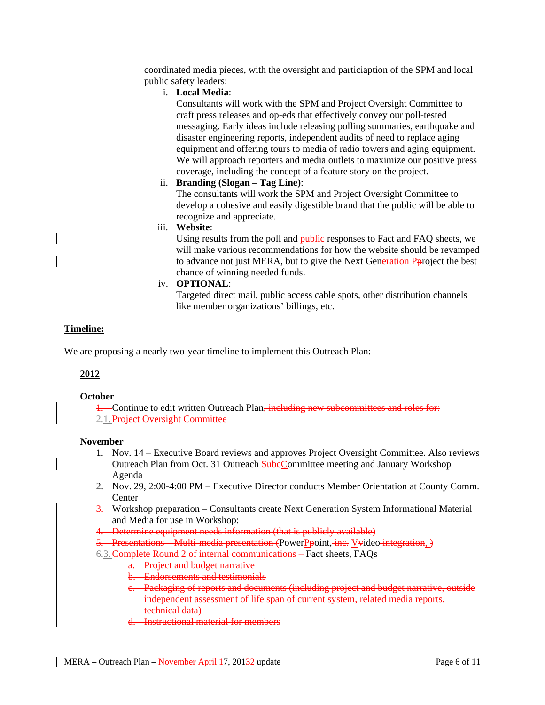coordinated media pieces, with the oversight and particiaption of the SPM and local public safety leaders:

i. **Local Media**:

Consultants will work with the SPM and Project Oversight Committee to craft press releases and op-eds that effectively convey our poll-tested messaging. Early ideas include releasing polling summaries, earthquake and disaster engineering reports, independent audits of need to replace aging equipment and offering tours to media of radio towers and aging equipment. We will approach reporters and media outlets to maximize our positive press coverage, including the concept of a feature story on the project.

ii. **Branding (Slogan – Tag Line)**:

The consultants will work the SPM and Project Oversight Committee to develop a cohesive and easily digestible brand that the public will be able to recognize and appreciate.

iii. **Website**:

Using results from the poll and **public** responses to Fact and FAQ sheets, we will make various recommendations for how the website should be revamped to advance not just MERA, but to give the Next Generation Pproject the best chance of winning needed funds.

iv. **OPTIONAL**:

Targeted direct mail, public access cable spots, other distribution channels like member organizations' billings, etc.

# **Timeline:**

We are proposing a nearly two-year timeline to implement this Outreach Plan:

# **2012**

#### **October**

1. Continue to edit written Outreach Plan, including new subcommittees and roles for: 2.1. Project Oversight Committee

#### **November**

- 1. Nov. 14 Executive Board reviews and approves Project Oversight Committee. Also reviews Outreach Plan from Oct. 31 Outreach SubeCommittee meeting and January Workshop Agenda
- 2. Nov. 29, 2:00-4:00 PM Executive Director conducts Member Orientation at County Comm. **Center**
- 3. Workshop preparation Consultants create Next Generation System Informational Material and Media for use in Workshop:
- 4. Determine equipment needs information (that is publicly available)
- 5. Presentations Multi-media presentation (PowerPpoint, inc. Vyideo integration, )
- 6.3.Complete Round 2 of internal communications Fact sheets, FAQs
	- a. Project and budget narrative
	- b. Endorsements and testimonials
	- c. Packaging of reports and documents (including project and budget narrative, outside independent assessment of life span of current system, related media reports, technical data)
	- d. Instructional material for members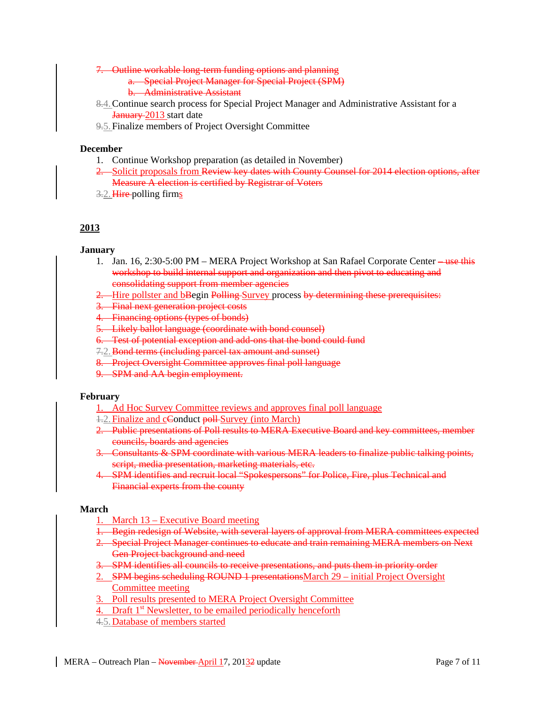7. Outline workable long-term funding options and planning

a. Special Project Manager for Special Project (SPM) b. Administrative Assistant

- 8.4.Continue search process for Special Project Manager and Administrative Assistant for a **January** 2013 start date
- 9.5.Finalize members of Project Oversight Committee

#### **December**

- 1. Continue Workshop preparation (as detailed in November)
- 2. Solicit proposals from Review key dates with County Counsel for 2014 election options, after Measure A election is certified by Registrar of Voters
- 3.2. Hire polling firms

# **2013**

**January** 

- 1. Jan. 16, 2:30-5:00 PM MERA Project Workshop at San Rafael Corporate Center —use this workshop to build internal support and organization and then pivot to educating and consolidating support from member agencies
- 2. Hire pollster and bBegin Polling Survey process by determining these prerequisites:
- 3. Final next generation project costs
- 4. Financing options (types of bonds)
- **Likely ballot language (coordinate with bond counsel)**
- 6. Test of potential exception and add-ons that the bond could fund
- 7.2. Bond terms (including parcel tax amount and sunset)
- 8. Project Oversight Committee approves final poll language
- 9. SPM and AA begin employment.

#### **February**

- 1. Ad Hoc Survey Committee reviews and approves final poll language
- 1.2. Finalize and cConduct poll Survey (into March)
- 2. Public presentations of Poll results to MERA Executive Board and key committees, member councils, boards and agencies
- 3. Consultants & SPM coordinate with various MERA leaders to finalize public talking points, script, media presentation, marketing materials, etc.
- 4. SPM identifies and recruit local "Spokespersons" for Police, Fire, plus Technical and Financial experts from the county

#### **March**

- 1. March 13 Executive Board meeting
- 1. Begin redesign of Website, with several layers of approval from MERA committees expected
- 2. Special Project Manager continues to educate and train remaining MERA members on Next Gen Project background and need
- 3. SPM identifies all councils to receive presentations, and puts them in priority order
- 2. SPM begins scheduling ROUND 1 presentations March 29 initial Project Oversight Committee meeting
- 3. Poll results presented to MERA Project Oversight Committee
- 4. Draft 1<sup>st</sup> Newsletter, to be emailed periodically henceforth
- 4.5.Database of members started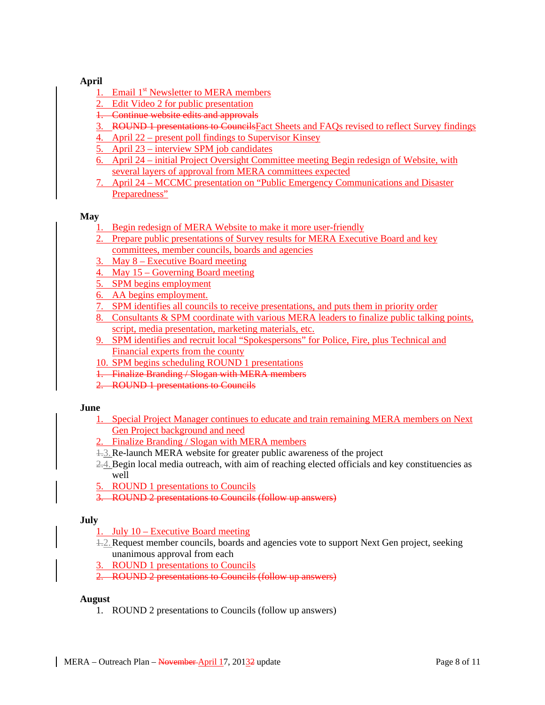# **April**

- 1. Email 1<sup>st</sup> Newsletter to MERA members
- 2. Edit Video 2 for public presentation
- 1. Continue website edits and approvals
- 3. ROUND 1 presentations to Councils Fact Sheets and FAQs revised to reflect Survey findings
- 4. April 22 present poll findings to Supervisor Kinsey
- 5. April 23 interview SPM job candidates
- 6. April 24 initial Project Oversight Committee meeting Begin redesign of Website, with several layers of approval from MERA committees expected
- 7. April 24 MCCMC presentation on "Public Emergency Communications and Disaster Preparedness"

#### **May**

- Begin redesign of MERA Website to make it more user-friendly
- 2. Prepare public presentations of Survey results for MERA Executive Board and key committees, member councils, boards and agencies
- 3. May 8 Executive Board meeting
- 4. May 15 Governing Board meeting
- 5. SPM begins employment
- 6. AA begins employment.
- 7. SPM identifies all councils to receive presentations, and puts them in priority order
- 8. Consultants & SPM coordinate with various MERA leaders to finalize public talking points, script, media presentation, marketing materials, etc.
- 9. SPM identifies and recruit local "Spokespersons" for Police, Fire, plus Technical and Financial experts from the county
- 10. SPM begins scheduling ROUND 1 presentations
- 1. Finalize Branding / Slogan with MERA members
- 2. ROUND 1 presentations to Councils

# **June**

- 1. Special Project Manager continues to educate and train remaining MERA members on Next Gen Project background and need
- 2. Finalize Branding / Slogan with MERA members
- 1.3.Re-launch MERA website for greater public awareness of the project
- 2.4. Begin local media outreach, with aim of reaching elected officials and key constituencies as well
- 5. ROUND 1 presentations to Councils
- 3. ROUND 2 presentations to Councils (follow up answers)

# **July**

- 1. July 10 Executive Board meeting
- 1.2.Request member councils, boards and agencies vote to support Next Gen project, seeking unanimous approval from each
- ROUND 1 presentations to Councils
- 2. ROUND 2 presentations to Councils (follow up answers)

#### **August**

1. ROUND 2 presentations to Councils (follow up answers)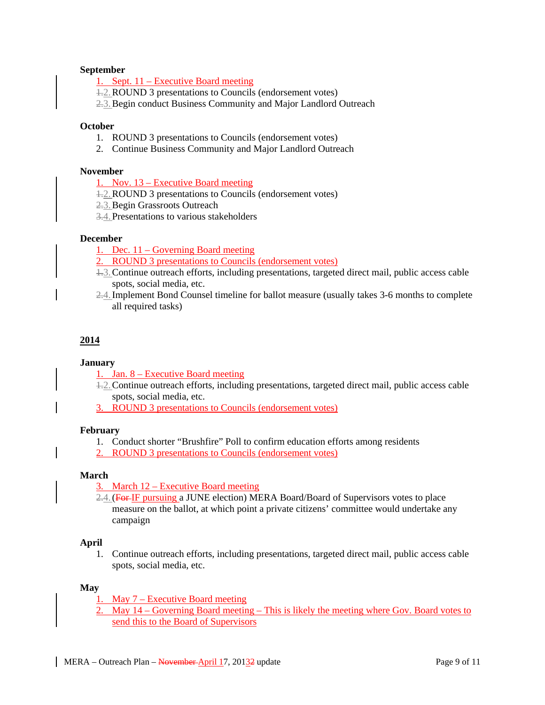#### **September**

1. Sept. 11 – Executive Board meeting

1.2.ROUND 3 presentations to Councils (endorsement votes)

2.3.Begin conduct Business Community and Major Landlord Outreach

#### **October**

- 1. ROUND 3 presentations to Councils (endorsement votes)
- 2. Continue Business Community and Major Landlord Outreach

#### **November**

1. Nov. 13 – Executive Board meeting

- 1.2.ROUND 3 presentations to Councils (endorsement votes)
- 2.3.Begin Grassroots Outreach
- 3.4.Presentations to various stakeholders

# **December**

1. Dec. 11 – Governing Board meeting

- 2. ROUND 3 presentations to Councils (endorsement votes)
- 1.3.Continue outreach efforts, including presentations, targeted direct mail, public access cable spots, social media, etc.
- 2.4.Implement Bond Counsel timeline for ballot measure (usually takes 3-6 months to complete all required tasks)

#### **2014**

#### **January**

- 1. Jan. 8 Executive Board meeting
- 1.2.Continue outreach efforts, including presentations, targeted direct mail, public access cable spots, social media, etc.
- 3. ROUND 3 presentations to Councils (endorsement votes)

## **February**

- 1. Conduct shorter "Brushfire" Poll to confirm education efforts among residents
- 2. ROUND 3 presentations to Councils (endorsement votes)

#### **March**

- 3. March 12 Executive Board meeting
- 2.4. (For IF pursuing a JUNE election) MERA Board/Board of Supervisors votes to place measure on the ballot, at which point a private citizens' committee would undertake any campaign

#### **April**

1. Continue outreach efforts, including presentations, targeted direct mail, public access cable spots, social media, etc.

#### **May**

- May  $7$  Executive Board meeting
- 2. May 14 Governing Board meeting This is likely the meeting where Gov. Board votes to send this to the Board of Supervisors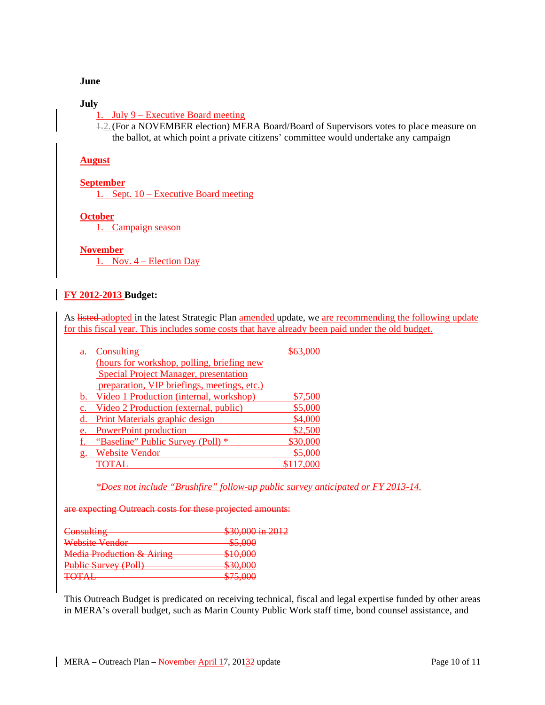#### **June**

## **July**

1. July 9 – Executive Board meeting

1.2.(For a NOVEMBER election) MERA Board/Board of Supervisors votes to place measure on the ballot, at which point a private citizens' committee would undertake any campaign

## **August**

#### **September**

1. Sept. 10 – Executive Board meeting

# **October**

1. Campaign season

#### **November**

1. Nov. 4 – Election Day

# **FY 2012-2013 Budget:**

As listed adopted in the latest Strategic Plan amended update, we are recommending the following update for this fiscal year. This includes some costs that have already been paid under the old budget.

| a.               | Consulting                                   | \$63.     |
|------------------|----------------------------------------------|-----------|
|                  | (hours for workshop, polling, briefing new   |           |
|                  | <b>Special Project Manager, presentation</b> |           |
|                  | preparation, VIP briefings, meetings, etc.)  |           |
| b.               | Video 1 Production (internal, workshop)      | \$7,500   |
|                  | Video 2 Production (external, public)        | \$5,000   |
|                  | Print Materials graphic design               | \$4,000   |
| e.               | <b>PowerPoint production</b>                 | \$2,500   |
|                  | "Baseline" Public Survey (Poll) *            | \$30,000  |
| $\mathfrak{g}$ . | <b>Website Vendor</b>                        | \$5,000   |
|                  | <b>TOTAL</b>                                 | \$117,000 |
|                  |                                              |           |

*\*Does not include "Brushfire" follow-up public survey anticipated or FY 2013-14.*

are expecting Outreach costs for these projected amounts:

| Consulting                              | $$30,000$ in $2012$                                                                     |
|-----------------------------------------|-----------------------------------------------------------------------------------------|
| Website Vendor                          | \$5,000                                                                                 |
| Media Production & Airing               | \$10,000                                                                                |
| Public Survey (Poll)                    | 20.000<br><b>PUOLUU</b>                                                                 |
| $T\cap T \wedge I$<br><del>TU RNI</del> | 27500<br>$\Psi$ $\overline{\Psi}$ $\overline{\Psi}$ $\overline{\Psi}$ $\overline{\Psi}$ |

This Outreach Budget is predicated on receiving technical, fiscal and legal expertise funded by other areas in MERA's overall budget, such as Marin County Public Work staff time, bond counsel assistance, and